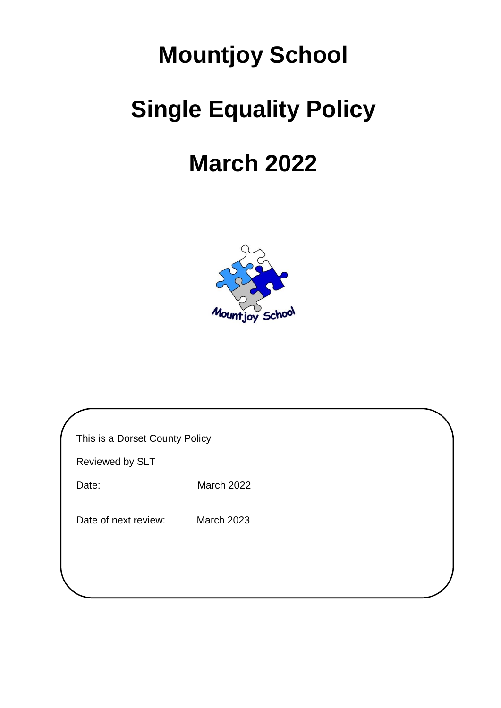# **Mountjoy School Single Equality Policy**

## **March 2022**



| This is a Dorset County Policy |  |
|--------------------------------|--|
|--------------------------------|--|

Reviewed by SLT

Date: March 2022

Date of next review: March 2023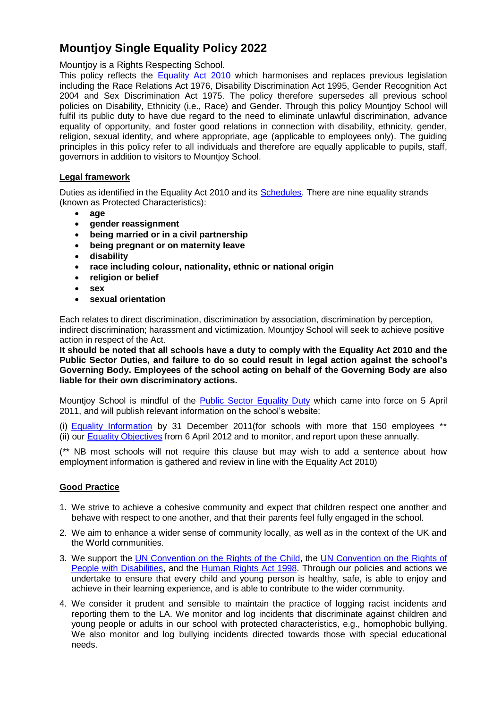### **Mountjoy Single Equality Policy 2022**

Mountjoy is a Rights Respecting School.

This policy reflects the **[Equality Act 2010](http://www.equalities.gov.uk/equality_act_2010.aspx)** which harmonises and replaces previous legislation including the Race Relations Act 1976, Disability Discrimination Act 1995, Gender Recognition Act 2004 and Sex Discrimination Act 1975. The policy therefore supersedes all previous school policies on Disability, Ethnicity (i.e., Race) and Gender. Through this policy Mountjoy School will fulfil its public duty to have due regard to the need to eliminate unlawful discrimination, advance equality of opportunity, and foster good relations in connection with disability, ethnicity, gender, religion, sexual identity, and where appropriate, age (applicable to employees only). The guiding principles in this policy refer to all individuals and therefore are equally applicable to pupils, staff, governors in addition to visitors to Mountjoy School.

#### **Legal framework**

Duties as identified in the Equality Act 2010 and its [Schedules.](http://www.legislation.gov.uk/ukpga/2010/15/contents) There are nine equality strands (known as Protected Characteristics):

- **age**
- **gender reassignment**
- **being married or in a civil partnership**
- **being pregnant or on maternity leave**
- **disability**
- **race including colour, nationality, ethnic or national origin**
- **religion or belief**
- **sex**
- **sexual orientation**

Each relates to direct discrimination, discrimination by association, discrimination by perception, indirect discrimination; harassment and victimization. Mountjoy School will seek to achieve positive action in respect of the Act.

**It should be noted that all schools have a duty to comply with the Equality Act 2010 and the Public Sector Duties, and failure to do so could result in legal action against the school's Governing Body. Employees of the school acting on behalf of the Governing Body are also liable for their own discriminatory actions.**

Mountiov School is mindful of the [Public Sector Equality Duty](http://www.equalities.gov.uk/equality_act_2010/public_sector_equality_duty.aspx) which came into force on 5 April 2011, and will publish relevant information on the school's website:

(i) [Equality Information](http://www.equalityhumanrights.com/uploaded_files/EqualityAct/PSED/information_guidance.pdf) by 31 December 2011(for schools with more that 150 employees \*\* (ii) our [Equality Objectives](http://www.equalityhumanrights.com/uploaded_files/EqualityAct/PSED/objectives_guideance.pdf) from 6 April 2012 and to monitor, and report upon these annually.

(\*\* NB most schools will not require this clause but may wish to add a sentence about how employment information is gathered and review in line with the Equality Act 2010)

#### **Good Practice**

- 1. We strive to achieve a cohesive community and expect that children respect one another and behave with respect to one another, and that their parents feel fully engaged in the school.
- 2. We aim to enhance a wider sense of community locally, as well as in the context of the UK and the World communities.
- 3. We support the [UN Convention on the Rights of the Child,](http://www.unicef.org/crc/files/Rights_overview.pdf) the [UN Convention on the Rights of](http://www.un.org/disabilities/documents/convention/convoptprot-e.pdf)  [People with Disabilities,](http://www.un.org/disabilities/documents/convention/convoptprot-e.pdf) and the [Human Rights](http://www.legislation.gov.uk/ukpga/1998/42/contents) Act 1998. Through our policies and actions we undertake to ensure that every child and young person is healthy, safe, is able to enjoy and achieve in their learning experience, and is able to contribute to the wider community.
- 4. We consider it prudent and sensible to maintain the practice of logging racist incidents and reporting them to the LA. We monitor and log incidents that discriminate against children and young people or adults in our school with protected characteristics, e.g., homophobic bullying. We also monitor and log bullying incidents directed towards those with special educational needs.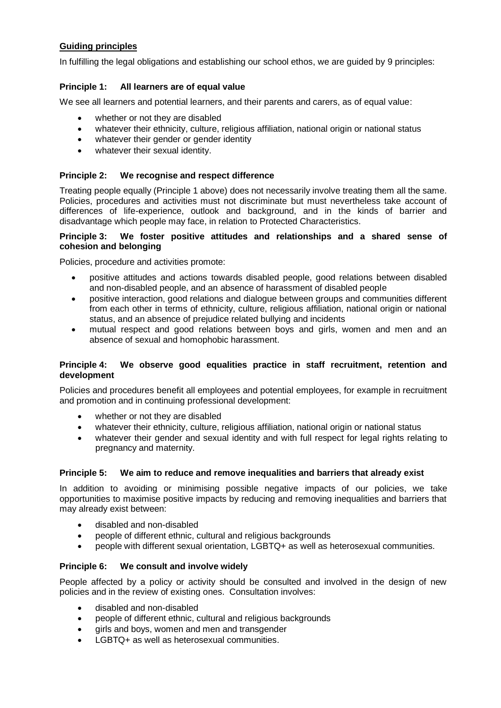#### **Guiding principles**

In fulfilling the legal obligations and establishing our school ethos, we are guided by 9 principles:

#### **Principle 1: All learners are of equal value**

We see all learners and potential learners, and their parents and carers, as of equal value:

- whether or not they are disabled
- whatever their ethnicity, culture, religious affiliation, national origin or national status
- whatever their gender or gender identity
- whatever their sexual identity.

#### **Principle 2: We recognise and respect difference**

Treating people equally (Principle 1 above) does not necessarily involve treating them all the same. Policies, procedures and activities must not discriminate but must nevertheless take account of differences of life-experience, outlook and background, and in the kinds of barrier and disadvantage which people may face, in relation to Protected Characteristics.

#### **Principle 3: We foster positive attitudes and relationships and a shared sense of cohesion and belonging**

Policies, procedure and activities promote:

- positive attitudes and actions towards disabled people, good relations between disabled and non-disabled people, and an absence of harassment of disabled people
- positive interaction, good relations and dialogue between groups and communities different from each other in terms of ethnicity, culture, religious affiliation, national origin or national status, and an absence of prejudice related bullying and incidents
- mutual respect and good relations between boys and girls, women and men and an absence of sexual and homophobic harassment.

#### **Principle 4: We observe good equalities practice in staff recruitment, retention and development**

Policies and procedures benefit all employees and potential employees, for example in recruitment and promotion and in continuing professional development:

- whether or not they are disabled
- whatever their ethnicity, culture, religious affiliation, national origin or national status
- whatever their gender and sexual identity and with full respect for legal rights relating to pregnancy and maternity.

#### **Principle 5: We aim to reduce and remove inequalities and barriers that already exist**

In addition to avoiding or minimising possible negative impacts of our policies, we take opportunities to maximise positive impacts by reducing and removing inequalities and barriers that may already exist between:

- disabled and non-disabled
- people of different ethnic, cultural and religious backgrounds
- people with different sexual orientation, LGBTQ+ as well as heterosexual communities.

#### **Principle 6: We consult and involve widely**

People affected by a policy or activity should be consulted and involved in the design of new policies and in the review of existing ones. Consultation involves:

- disabled and non-disabled
- people of different ethnic, cultural and religious backgrounds
- girls and boys, women and men and transgender
- LGBTQ+ as well as heterosexual communities.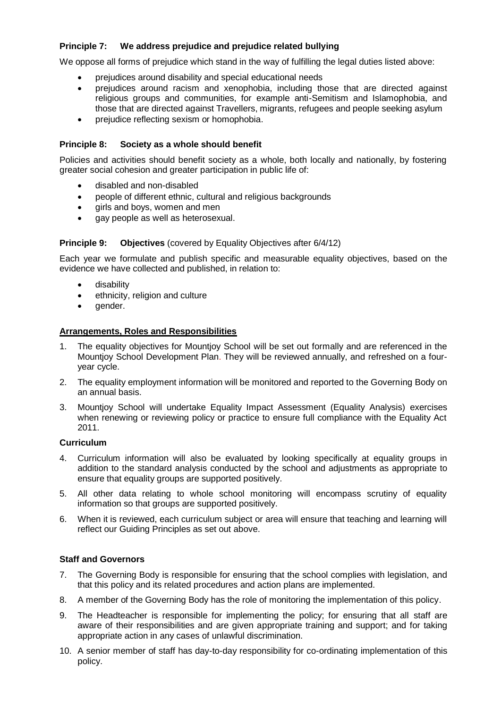#### **Principle 7: We address prejudice and prejudice related bullying**

We oppose all forms of prejudice which stand in the way of fulfilling the legal duties listed above:

- prejudices around disability and special educational needs
- prejudices around racism and xenophobia, including those that are directed against religious groups and communities, for example anti-Semitism and Islamophobia, and those that are directed against Travellers, migrants, refugees and people seeking asylum
- prejudice reflecting sexism or homophobia.

#### **Principle 8: Society as a whole should benefit**

Policies and activities should benefit society as a whole, both locally and nationally, by fostering greater social cohesion and greater participation in public life of:

- disabled and non-disabled
- people of different ethnic, cultural and religious backgrounds
- girls and boys, women and men
- gay people as well as heterosexual.

#### **Principle 9: Objectives** (covered by Equality Objectives after 6/4/12)

Each year we formulate and publish specific and measurable equality objectives, based on the evidence we have collected and published, in relation to:

- disability
- ethnicity, religion and culture
- gender.

#### **Arrangements, Roles and Responsibilities**

- 1. The equality objectives for Mountjoy School will be set out formally and are referenced in the Mountjoy School Development Plan. They will be reviewed annually, and refreshed on a fouryear cycle.
- 2. The equality employment information will be monitored and reported to the Governing Body on an annual basis.
- 3. Mountjoy School will undertake Equality Impact Assessment (Equality Analysis) exercises when renewing or reviewing policy or practice to ensure full compliance with the Equality Act 2011.

#### **Curriculum**

- 4. Curriculum information will also be evaluated by looking specifically at equality groups in addition to the standard analysis conducted by the school and adjustments as appropriate to ensure that equality groups are supported positively.
- 5. All other data relating to whole school monitoring will encompass scrutiny of equality information so that groups are supported positively.
- 6. When it is reviewed, each curriculum subject or area will ensure that teaching and learning will reflect our Guiding Principles as set out above.

#### **Staff and Governors**

- 7. The Governing Body is responsible for ensuring that the school complies with legislation, and that this policy and its related procedures and action plans are implemented.
- 8. A member of the Governing Body has the role of monitoring the implementation of this policy.
- 9. The Headteacher is responsible for implementing the policy; for ensuring that all staff are aware of their responsibilities and are given appropriate training and support; and for taking appropriate action in any cases of unlawful discrimination.
- 10. A senior member of staff has day-to-day responsibility for co-ordinating implementation of this policy.